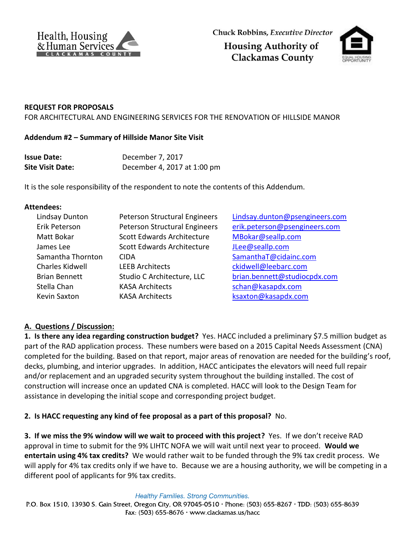



#### **REQUEST FOR PROPOSALS**

FOR ARCHITECTURAL AND ENGINEERING SERVICES FOR THE RENOVATION OF HILLSIDE MANOR

#### **Addendum #2 – Summary of Hillside Manor Site Visit**

| <b>Issue Date:</b>      | December 7, 2017            |
|-------------------------|-----------------------------|
| <b>Site Visit Date:</b> | December 4, 2017 at 1:00 pm |

It is the sole responsibility of the respondent to note the contents of this Addendum.

#### **Attendees:**

| Lindsay Dunton<br>Erik Peterson | Peterson Structural Engineers<br>Peterson Structural Engineers | Lindsay.dunton@psengineers.com<br>erik.peterson@psengineers.com |
|---------------------------------|----------------------------------------------------------------|-----------------------------------------------------------------|
| Matt Bokar                      | Scott Edwards Architecture                                     | MBokar@seallp.com                                               |
| James Lee                       | Scott Edwards Architecture                                     | JLee@seallp.com                                                 |
| Samantha Thornton               | <b>CIDA</b>                                                    | SamanthaT@cidainc.com                                           |
| Charles Kidwell                 | <b>LEEB Architects</b>                                         | ckidwell@leebarc.com                                            |
| <b>Brian Bennett</b>            | Studio C Architecture, LLC                                     | brian.bennett@studiocpdx.com                                    |
| Stella Chan                     | <b>KASA Architects</b>                                         | schan@kasapdx.com                                               |
| <b>Kevin Saxton</b>             | <b>KASA Architects</b>                                         | ksaxton@kasapdx.com                                             |
|                                 |                                                                |                                                                 |

## **A. Questions / Discussion:**

**1. Is there any idea regarding construction budget?** Yes. HACC included a preliminary \$7.5 million budget as part of the RAD application process. These numbers were based on a 2015 Capital Needs Assessment (CNA) completed for the building. Based on that report, major areas of renovation are needed for the building's roof, decks, plumbing, and interior upgrades. In addition, HACC anticipates the elevators will need full repair and/or replacement and an upgraded security system throughout the building installed. The cost of construction will increase once an updated CNA is completed. HACC will look to the Design Team for assistance in developing the initial scope and corresponding project budget.

## **2. Is HACC requesting any kind of fee proposal as a part of this proposal?** No.

**3. If we miss the 9% window will we wait to proceed with this project?** Yes. If we don't receive RAD approval in time to submit for the 9% LIHTC NOFA we will wait until next year to proceed. **Would we entertain using 4% tax credits?** We would rather wait to be funded through the 9% tax credit process. We will apply for 4% tax credits only if we have to. Because we are a housing authority, we will be competing in a different pool of applicants for 9% tax credits.

**Healthy Families. Strong Communities.** 

P.O. Box 1510, 13930 S. Gain Street, Oregon City, OR 97045-0510 · Phone: (503) 655-8267 · TDD: (503) 655-8639 Fax:  $(503)$  655-8676 • www.clackamas.us/hacc